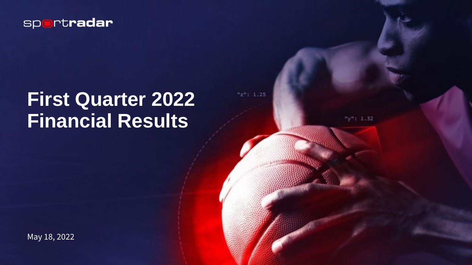

# **First Quarter 2022 Financial Results**

 $"z"$ : 1.25

 $"y"$ : 1.32

May 18, 2022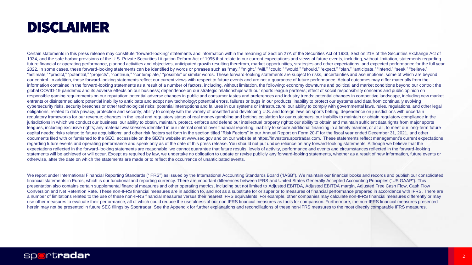## DISCLAIMER

Certain statements in this press release may constitute "forward-looking" statements and information within the meaning of Section 27A of the Securities Act of 1933, Section 21E of the Securities Exchange Act of 1934, and the safe harbor provisions of the U.S. Private Securities Litigation Reform Act of 1995 that relate to our current expectations and views of future events, including, without limitation, statements regarding future financial or operating performance, planned activities and objectives, anticipated growth resulting therefrom, market opportunities, strategies and other expectations, and expected performance for the full year 2022. In some cases, these forward-looking statements can be identified by words or phrases such as "may," "might," "will," "could," "would," "should," "expect," "plan," "anticipate," "intend," "seek," "believe," "estimate," "predict," "potential," "projects", "continue," "contemplate," "possible" or similar words. These forward-looking statements are subject to risks, uncertainties and assumptions, some of which are beyond our control. In addition, these forward-looking statements reflect our current views with respect to future events and are not a guarantee of future performance. Actual outcomes may differ materially from the information contained in the forward-looking statements as a result of a number of factors, including, without limitation, the following: economy downturns and political and market conditions beyond our control; the global COVID-19 pandemic and its adverse effects on our business; dependence on our strategic relationships with our sports league partners; effect of social responsibility concerns and public opinion on responsible gaming requirements on our reputation; potential adverse changes in public and consumer tastes and preferences and industry trends; potential changes in competitive landscape, including new market entrants or disintermediation; potential inability to anticipate and adopt new technology; potential errors, failures or bugs in our products; inability to protect our systems and data from continually evolving cybersecurity risks, security breaches or other technological risks; potential interruptions and failures in our systems or infrastructure; our ability to comply with governmental laws, rules, regulations, and other legal obligations, related to data privacy, protection and security; ability to comply with the variety of unsettled and developing U.S. and foreign laws on sports betting; dependence on jurisdictions with uncertain regulatory frameworks for our revenue; changes in the legal and regulatory status of real money gambling and betting legislation for our customers; our inability to maintain or obtain regulatory compliance in the jurisdictions in which we conduct our business; our ability to obtain, maintain, protect, enforce and defend our intellectual property rights; our ability to obtain and maintain sufficient data rights from major sports leagues, including exclusive rights; any material weaknesses identified in our internal control over financial reporting; inability to secure additional financing in a timely manner, or at all, to meet our long-term future capital needs; risks related to future acquisitions; and other risk factors set forth in the section titled "Risk Factors" in our Annual Report on Form 20-F for the fiscal year ended December 31, 2021, and other documents filed with or furnished to the SEC, accessible on the SEC's website at www.sec.gov and on our website at https://investors.sportradar.com. These statements reflect management's current expectations regarding future events and operating performance and speak only as of the date of this press release. You should not put undue reliance on any forward-looking statements. Although we believe that the expectations reflected in the forward-looking statements are reasonable, we cannot quarantee that future results, levels of activity, performance and events and circumstances reflected in the forward-looking statements will be achieved or will occur. Except as required by law, we undertake no obligation to update or revise publicly any forward-looking statements, whether as a result of new information, future events or otherwise, after the date on which the statements are made or to reflect the occurrence of unanticipated events.

We report under International Financial Reporting Standards ("IFRS") as issued by the International Accounting Standards Board ("IASB"). We maintain our financial books and records and publish our consolidated financial statements in Euros, which is our functional and reporting currency. There are important differences between IFRS and United States Generally Accepted Accounting Principles ("US GAAP"). This presentation also contains certain supplemental financial measures and other operating metrics, including but not limited to Adjusted EBITDA, Adjusted EBITDA margin, Adjusted Free Cash Flow, Cash Flow Conversion and Net Retention Rate. These non-IFRS financial measures are in addition to, and not as a substitute for or superior to measures of financial performance prepared in accordance with IFRS. There are a number of limitations related to the use of these non-IFRS financial measures versus their nearest IFRS equivalents. For example, other companies may calculate non-IFRS financial measures differently or may use other measures to evaluate their performance, all of which could reduce the usefulness of our non IFRS financial measures as tools for comparison. Furthermore, the non-IFRS financial measures presented herein may not be presented in future SEC filings by Sportradar. See the Appendix for further explanations and reconciliations of these non-IFRS measures to the most directly comparable IFRS measures.

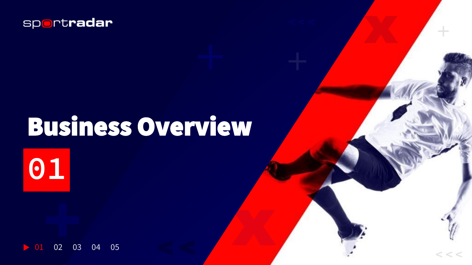

# Business Overview

< < **< < <**

**01**

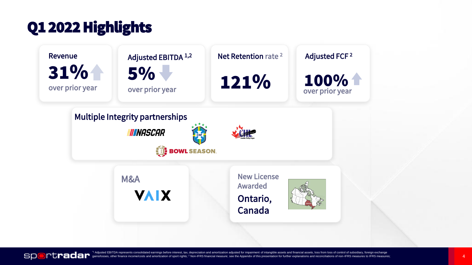# Q1 2022 Highlights





Adjusted EBITDA represents consolidated earnings before interest, tax, depreciation and amortization adjusted for impairment of intangible assets and financial assets, loss from loss of control of subsidiary, foreign excha gains/losses, other finance income/costs and amortization of sport rights; <sup>2</sup> Non-IFRS financial measure; see the Appendix of this presentation for further explanations and reconciliations of non-IFRS measures to IFRS mea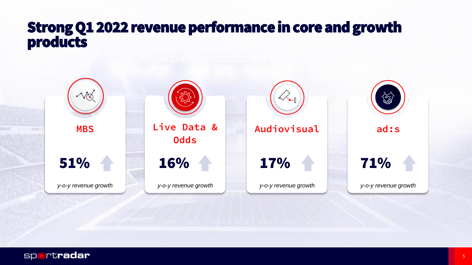### Strong Q1 2022 revenue performance in core and growth products

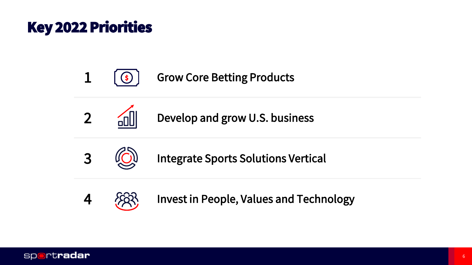# Key 2022 Priorities









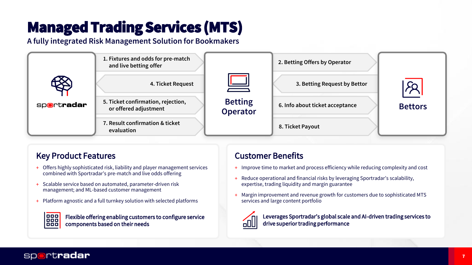# Managed Trading Services (MTS)

**A fully integrated Risk Management Solution for Bookmakers**



#### Key Product Features **Customer Benefits**

- + Offers highly sophisticated risk, liability and player management services combined with Sportradar's pre-match and live odds offering
- + Scalable service based on automated, parameter-driven risk management; and ML-based customer management
- + Platform agnostic and a full turnkey solution with selected platforms



Flexible offering enabling customers to configure service components based on their needs

- + Improve time to market and process efficiency while reducing complexity and cost
- + Reduce operational and financial risks by leveraging Sportradar's scalability, expertise, trading liquidity and margin guarantee
- Margin improvement and revenue growth for customers due to sophisticated MTS services and large content portfolio



Leverages Sportradar's global scale and AI-driven trading services to drive superior trading performance

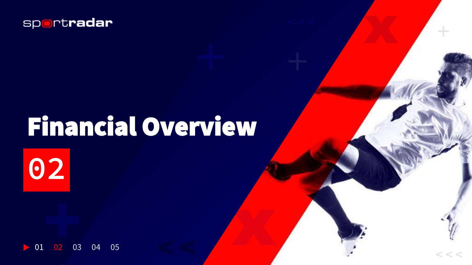

# Financial Overview

< < **< < <**

**02**

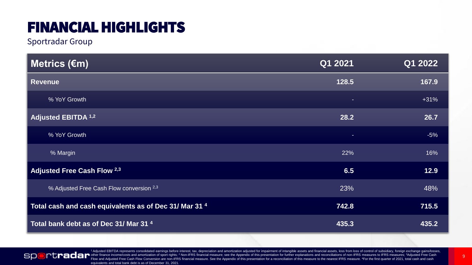# FINANCIAL HIGHLIGHTS

Sportradar Group

| │ Metrics (€m)                                         | Q1 2021 | Q1 2022 |
|--------------------------------------------------------|---------|---------|
| <b>Revenue</b>                                         | 128.5   | 167.9   |
| % YoY Growth                                           | ÷       | $+31%$  |
| <b>Adjusted EBITDA 1,2</b>                             | 28.2    | 26.7    |
| % YoY Growth                                           | ٠       | $-5%$   |
| % Margin                                               | 22%     | 16%     |
| Adjusted Free Cash Flow 2,3                            | 6.5     | 12.9    |
| % Adjusted Free Cash Flow conversion 2,3               | 23%     | 48%     |
| Total cash and cash equivalents as of Dec 31/ Mar 31 4 | 742.8   | 715.5   |
| Total bank debt as of Dec 31/ Mar 31 <sup>4</sup>      | 435.3   | 435.2   |



<sup>1</sup> Adjusted EBITDA represents consolidated earnings before interest, tax, depreciation and amortization adjusted for impairment of intangible assets and financial assets, loss from loss of control of subsidiary, foreign e other finance income/costs and amortization of sport rights; <sup>2</sup> Non-IFRS financial measure; see the Appendix of this presentation for further explanations and reconciliations of non-IFRS measures to IFRS measures; 3Adjust Flow and Adjusted Free Cash Flow Conversion are non-IFRS financial measure. See the Appendix of this presentation for a reconciliation of this measure to the nearest IFRS measure. <sup>4</sup>For the first quarter of 2021, total ca equivalents and total bank debt is as of December 31, 2021.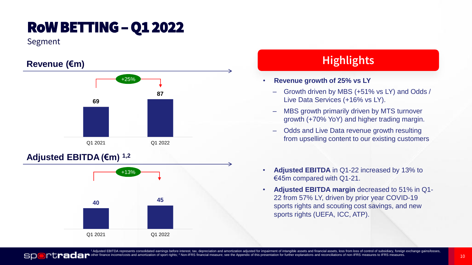# RoWBETTING –Q1 2022

Segment

SD



#### **Adjusted EBITDA (€m) 1,2**



#### **Highlights**

- **Revenue growth of 25% vs LY**
	- Growth driven by MBS (+51% vs LY) and Odds / Live Data Services (+16% vs LY).
	- MBS growth primarily driven by MTS turnover growth (+70% YoY) and higher trading margin.
	- Odds and Live Data revenue growth resulting from upselling content to our existing customers
- **Adjusted EBITDA** in Q1-22 increased by 13% to €45m compared with Q1-21.
- **Adjusted EBITDA margin** decreased to 51% in Q1- 22 from 57% LY, driven by prior year COVID-19 sports rights and scouting cost savings, and new sports rights (UEFA, ICC, ATP).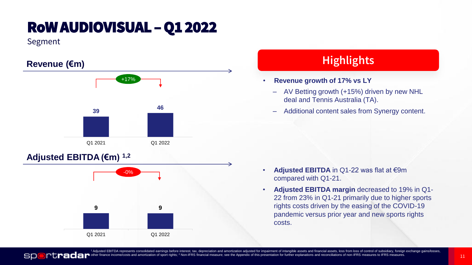# RoWAUDIOVISUAL –Q1 2022

Segment

**SP** 



#### **Adjusted EBITDA (€m) 1,2**



#### **Highlights**

- **Revenue growth of 17% vs LY**
	- AV Betting growth (+15%) driven by new NHL deal and Tennis Australia (TA).
	- Additional content sales from Synergy content.

- **Adjusted EBITDA** in Q1-22 was flat at €9m compared with Q1-21.
- **Adjusted EBITDA margin** decreased to 19% in Q1- 22 from 23% in Q1-21 primarily due to higher sports rights costs driven by the easing of the COVID-19 pandemic versus prior year and new sports rights costs.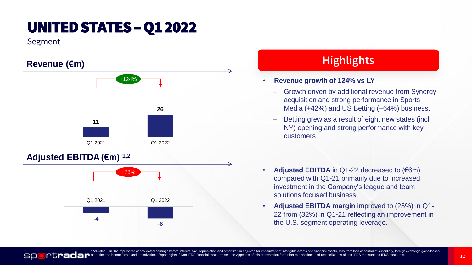# UNITED STATES – Q1 2022

Segment

SD



#### **Adjusted EBITDA (€m) 1,2**



#### **Highlights**

#### • **Revenue growth of 124% vs LY**

- Growth driven by additional revenue from Synergy acquisition and strong performance in Sports Media (+42%) and US Betting (+64%) business.
- Betting grew as a result of eight new states (incl NY) opening and strong performance with key customers
- **Adjusted EBITDA** in Q1-22 decreased to (€6m) compared with Q1-21 primarily due to increased investment in the Company's league and team solutions focused business.
- **Adjusted EBITDA margin** improved to (25%) in Q1- 22 from (32%) in Q1-21 reflecting an improvement in the U.S. segment operating leverage.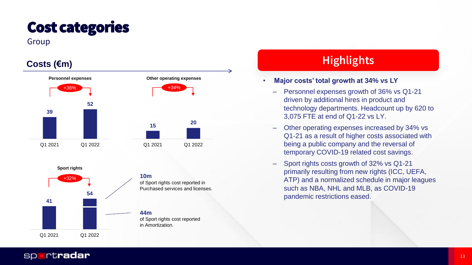# Cost categories

#### Group







**44m**  of Sport rights cost reported in Amortization.

#### **Highlights**

#### • **Major costs' total growth at 34% vs LY**

- Personnel expenses growth of 36% vs Q1-21 driven by additional hires in product and technology departments. Headcount up by 620 to 3,075 FTE at end of Q1-22 vs LY.
- Other operating expenses increased by 34% vs Q1-21 as a result of higher costs associated with being a public company and the reversal of temporary COVID-19 related cost savings.
- Sport rights costs growth of 32% vs Q1-21 primarily resulting from new rights (ICC, UEFA, ATP) and a normalized schedule in major leagues such as NBA, NHL and MLB, as COVID-19 pandemic restrictions eased.

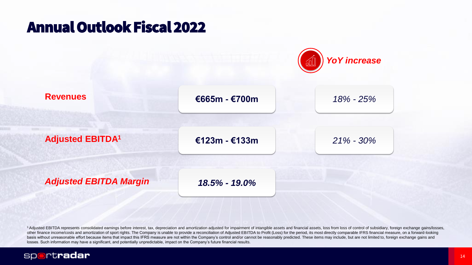## Annual Outlook Fiscal 2022



<sup>1</sup> Adjusted EBITDA represents consolidated earnings before interest, tax, depreciation and amortization adjusted for impairment of intangible assets and financial assets, loss from loss of control of subsidiary, foreign e other finance income/costs and amortization of sport rights. The Company is unable to provide a reconciliation of Adjusted EBITDA to Profit (Loss) for the period, its most directly comparable IFRS financial measure, on a f basis without unreasonable effort because items that impact this IFRS measure are not within the Company's control and/or cannot be reasonably predicted. These items may include, but are not limited to, foreign exchange ga losses. Such information may have a significant, and potentially unpredictable, impact on the Company's future financial results.

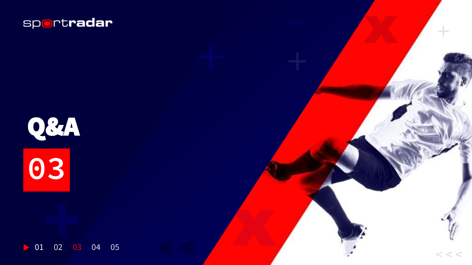



01 02 03 04 05 $\triangleright$ 

< < **< < <**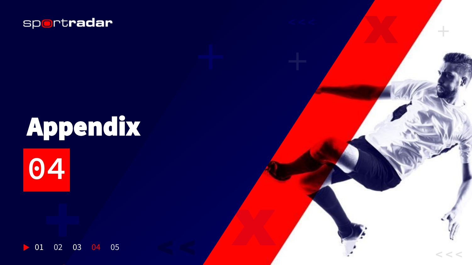

# **04** Appendix



< < **< < <**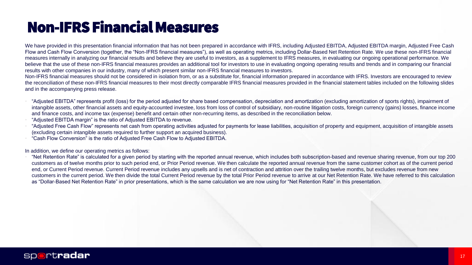# Non-IFRS Financial Measures

We have provided in this presentation financial information that has not been prepared in accordance with IFRS, including Adjusted EBITDA, Adjusted EBITDA margin, Adjusted Free Cash Flow and Cash Flow Conversion (together, the "Non-IFRS financial measures"), as well as operating metrics, including Dollar-Based Net Retention Rate. We use these non-IFRS financial measures internally in analyzing our financial results and believe they are useful to investors, as a supplement to IFRS measures, in evaluating our ongoing operational performance. We believe that the use of these non-IFRS financial measures provides an additional tool for investors to use in evaluating ongoing operating results and trends and in comparing our financial results with other companies in our industry, many of which present similar non-IFRS financial measures to investors.

Non-IFRS financial measures should not be considered in isolation from, or as a substitute for, financial information prepared in accordance with IFRS. Investors are encouraged to review the reconciliation of these non-IFRS financial measures to their most directly comparable IFRS financial measures provided in the financial statement tables included on the following slides and in the accompanying press release.

- "Adjusted EBITDA" represents profit (loss) for the period adjusted for share based compensation, depreciation and amortization (excluding amortization of sports rights), impairment of intangible assets, other financial assets and equity-accounted investee, loss from loss of control of subsidiary, non-routine litigation costs, foreign currency (gains) losses, finance income and finance costs, and income tax (expense) benefit and certain other non-recurring items, as described in the reconciliation below.
- "Adjusted EBITDA margin" is the ratio of Adjusted EBITDA to revenue.
- "Adjusted Free Cash Flow" represents net cash from operating activities adjusted for payments for lease liabilities, acquisition of property and equipment, acquisition of intangible assets (excluding certain intangible assets required to further support an acquired business).
- "Cash Flow Conversion" is the ratio of Adjusted Free Cash Flow to Adjusted EBITDA.

In addition, we define our operating metrics as follows:

• "Net Retention Rate" is calculated for a given period by starting with the reported annual revenue, which includes both subscription-based and revenue sharing revenue, from our top 200 customers as of twelve months prior to such period end, or Prior Period revenue. We then calculate the reported annual revenue from the same customer cohort as of the current period end, or Current Period revenue. Current Period revenue includes any upsells and is net of contraction and attrition over the trailing twelve months, but excludes revenue from new customers in the current period. We then divide the total Current Period revenue by the total Prior Period revenue to arrive at our Net Retention Rate. We have referred to this calculation as "Dollar-Based Net Retention Rate" in prior presentations, which is the same calculation we are now using for "Net Retention Rate" in this presentation.

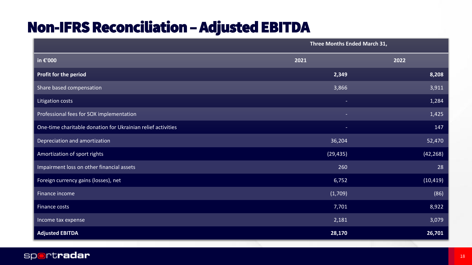# Non-IFRS Reconciliation –Adjusted EBITDA

|                                                              | Three Months Ended March 31, |           |  |
|--------------------------------------------------------------|------------------------------|-----------|--|
| in €'000                                                     | 2021                         | 2022      |  |
| Profit for the period                                        | 2,349                        | 8,208     |  |
| Share based compensation                                     | 3,866                        | 3,911     |  |
| Litigation costs                                             | $\equiv$                     | 1,284     |  |
| Professional fees for SOX implementation                     | $\overline{\phantom{a}}$     | 1,425     |  |
| One-time charitable donation for Ukrainian relief activities | $\equiv$                     | 147       |  |
| Depreciation and amortization                                | 36,204                       | 52,470    |  |
| Amortization of sport rights                                 | (29, 435)                    | (42, 268) |  |
| Impairment loss on other financial assets                    | 260                          | 28        |  |
| Foreign currency gains (losses), net                         | 6,752                        | (10, 419) |  |
| Finance income                                               | (1,709)                      | (86)      |  |
| Finance costs                                                | 7,701                        | 8,922     |  |
| Income tax expense                                           | 2,181                        | 3,079     |  |
| <b>Adjusted EBITDA</b>                                       | 28,170                       | 26,701    |  |